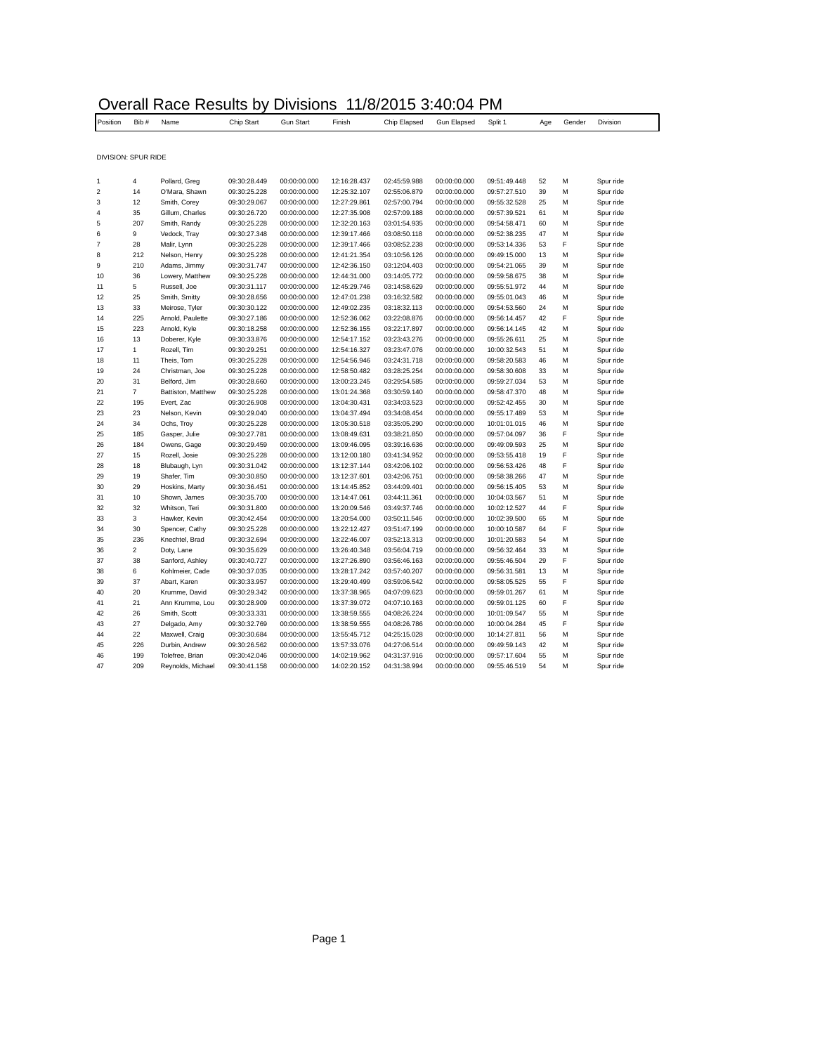|                         | Overall Race Results by Divisions 11/8/2015 3:40:04 PM |                    |              |                  |              |              |                    |              |     |        |           |  |
|-------------------------|--------------------------------------------------------|--------------------|--------------|------------------|--------------|--------------|--------------------|--------------|-----|--------|-----------|--|
| Position                | Bib#                                                   | Name               | Chip Start   | <b>Gun Start</b> | Finish       | Chip Elapsed | <b>Gun Elapsed</b> | Split 1      | Age | Gender | Division  |  |
|                         |                                                        |                    |              |                  |              |              |                    |              |     |        |           |  |
|                         | DIVISION: SPUR RIDE                                    |                    |              |                  |              |              |                    |              |     |        |           |  |
| 1                       | 4                                                      | Pollard, Greg      | 09:30:28.449 | 00:00:00.000     | 12:16:28.437 | 02:45:59.988 | 00:00:00.000       | 09:51:49.448 | 52  | М      | Spur ride |  |
| $\overline{\mathbf{c}}$ | 14                                                     | O'Mara, Shawn      | 09:30:25.228 | 00:00:00.000     | 12:25:32.107 | 02:55:06.879 | 00:00:00.000       | 09:57:27.510 | 39  | М      | Spur ride |  |
| 3                       | 12                                                     | Smith, Corey       | 09:30:29.067 | 00:00:00.000     | 12:27:29.861 | 02:57:00.794 | 00:00:00.000       | 09:55:32.528 | 25  | M      | Spur ride |  |
|                         | 35                                                     | Gillum, Charles    | 09:30:26.720 | 00:00:00.000     | 12:27:35.908 | 02:57:09.188 | 00:00:00.000       | 09:57:39.521 | 61  | м      | Spur ride |  |
|                         | 207                                                    | Smith, Randy       | 09:30:25.228 | 00:00:00.000     | 12:32:20.163 | 03:01:54.935 | 00:00:00.000       | 09:54:58.471 | 60  | M      | Spur ride |  |
|                         | 9                                                      | Vedock, Tray       | 09:30:27.348 | 00:00:00.000     | 12:39:17.466 | 03:08:50.118 | 00:00:00.000       | 09:52:38.235 | 47  | M      | Spur ride |  |
|                         | 28                                                     | Malir, Lynn        | 09:30:25.228 | 00:00:00.000     | 12:39:17.466 | 03:08:52.238 | 00:00:00.000       | 09:53:14.336 | 53  | F      | Spur ride |  |
|                         | 212                                                    | Nelson, Henry      | 09:30:25.228 | 00:00:00.000     | 12:41:21.354 | 03:10:56.126 | 00:00:00.000       | 09:49:15.000 | 13  | M      | Spur ride |  |
|                         | 210                                                    | Adams, Jimmy       | 09:30:31.747 | 00:00:00.000     | 12:42:36.150 | 03:12:04.403 | 00:00:00.000       | 09:54:21.065 | 39  | М      | Spur ride |  |
| 10                      | 36                                                     | Lowery, Matthew    | 09:30:25.228 | 00:00:00.000     | 12:44:31.000 | 03:14:05.772 | 00:00:00.000       | 09:59:58.675 | 38  | M      | Spur ride |  |
| 11                      | 5                                                      | Russell, Joe       | 09:30:31.117 | 00:00:00.000     | 12:45:29.746 | 03:14:58.629 | 00:00:00.000       | 09:55:51.972 | 44  | М      | Spur ride |  |
| 12                      | 25                                                     | Smith, Smitty      | 09:30:28.656 | 00:00:00.000     | 12:47:01.238 | 03:16:32.582 | 00:00:00.000       | 09:55:01.043 | 46  | M      | Spur ride |  |
| 13                      | 33                                                     | Meirose, Tyler     | 09:30:30.122 | 00:00:00.000     | 12:49:02.235 | 03:18:32.113 | 00:00:00.000       | 09:54:53.560 | 24  | М      | Spur ride |  |
| 14                      | 225                                                    | Arnold, Paulette   | 09:30:27.186 | 00:00:00.000     | 12:52:36.062 | 03:22:08.876 | 00:00:00.000       | 09:56:14.457 | 42  | F      | Spur ride |  |
| 15                      | 223                                                    | Arnold, Kyle       | 09:30:18.258 | 00:00:00.000     | 12:52:36.155 | 03:22:17.897 | 00:00:00.000       | 09:56:14.145 | 42  | м      | Spur ride |  |
| 16                      | 13                                                     | Doberer, Kyle      | 09:30:33.876 | 00:00:00.000     | 12:54:17.152 | 03:23:43.276 | 00:00:00.000       | 09:55:26.611 | 25  | M      | Spur ride |  |
| 17                      | $\mathbf{1}$                                           | Rozell, Tim        | 09:30:29.251 | 00:00:00.000     | 12:54:16.327 | 03:23:47.076 | 00:00:00.000       | 10:00:32.543 | 51  | M      | Spur ride |  |
| 18                      | 11                                                     | Theis, Tom         | 09:30:25.228 | 00:00:00.000     | 12:54:56.946 | 03:24:31.718 | 00:00:00.000       | 09:58:20.583 | 46  | M      | Spur ride |  |
| 19                      | 24                                                     | Christman, Joe     | 09:30:25.228 | 00:00:00.000     | 12:58:50.482 | 03:28:25.254 | 00:00:00.000       | 09:58:30.608 | 33  | м      | Spur ride |  |
| 20                      | 31                                                     | Belford, Jim       | 09:30:28.660 | 00:00:00.000     | 13:00:23.245 | 03:29:54.585 | 00:00:00.000       | 09:59:27.034 | 53  | М      | Spur ride |  |
| 21                      | $\overline{7}$                                         | Battiston, Matthew | 09:30:25.228 | 00:00:00.000     | 13:01:24.368 | 03:30:59.140 | 00:00:00.000       | 09:58:47.370 | 48  | M      | Spur ride |  |
| 22                      | 195                                                    | Evert, Zac         | 09:30:26.908 | 00:00:00.000     | 13:04:30.431 | 03:34:03.523 | 00:00:00.000       | 09:52:42.455 | 30  | M      | Spur ride |  |
| 23                      | 23                                                     | Nelson, Kevin      | 09:30:29.040 | 00:00:00.000     | 13:04:37.494 | 03:34:08.454 | 00:00:00.000       | 09:55:17.489 | 53  | M      | Spur ride |  |
| 24                      | 34                                                     | Ochs, Troy         | 09:30:25.228 | 00:00:00.000     | 13:05:30.518 | 03:35:05.290 | 00:00:00.000       | 10:01:01.015 | 46  | М      | Spur ride |  |
| 25                      | 185                                                    | Gasper, Julie      | 09:30:27.781 | 00:00:00.000     | 13:08:49.631 | 03:38:21.850 | 00:00:00.000       | 09:57:04.097 | 36  | F      | Spur ride |  |
| 26                      | 184                                                    | Owens, Gage        | 09:30:29.459 | 00:00:00.000     | 13:09:46.095 | 03:39:16.636 | 00:00:00.000       | 09:49:09.593 | 25  | M      | Spur ride |  |
| 27                      | 15                                                     | Rozell, Josie      | 09:30:25.228 | 00:00:00.000     | 13:12:00.180 | 03:41:34.952 | 00:00:00.000       | 09:53:55.418 | 19  | F      | Spur ride |  |
| 28                      | 18                                                     | Blubaugh, Lyn      | 09:30:31.042 | 00:00:00.000     | 13:12:37.144 | 03:42:06.102 | 00:00:00.000       | 09:56:53.426 | 48  | F      | Spur ride |  |
| 29                      | 19                                                     | Shafer, Tim        | 09:30:30.850 | 00:00:00.000     | 13:12:37.601 | 03:42:06.751 | 00:00:00.000       | 09:58:38.266 | 47  | М      | Spur ride |  |
| 30                      | 29                                                     | Hoskins, Marty     | 09:30:36.451 | 00:00:00.000     | 13:14:45.852 | 03:44:09.401 | 00:00:00.000       | 09:56:15.405 | 53  | M      | Spur ride |  |
| 31                      | 10                                                     | Shown, James       | 09:30:35.700 | 00:00:00.000     | 13:14:47.061 | 03:44:11.361 | 00:00:00.000       | 10:04:03.567 | 51  | М      | Spur ride |  |
| 32                      | 32                                                     | Whitson, Teri      | 09:30:31.800 | 00:00:00.000     | 13:20:09.546 | 03:49:37.746 | 00:00:00.000       | 10:02:12.527 | 44  | F      | Spur ride |  |
| 33                      | 3                                                      | Hawker, Kevin      | 09:30:42.454 | 00:00:00.000     | 13:20:54.000 | 03:50:11.546 | 00:00:00.000       | 10:02:39.500 | 65  | M      | Spur ride |  |
| 34                      | 30                                                     | Spencer, Cathy     | 09:30:25.228 | 00:00:00.000     | 13:22:12.427 | 03:51:47.199 | 00:00:00.000       | 10:00:10.587 | 64  | F      | Spur ride |  |
| 35                      | 236                                                    | Knechtel, Brad     | 09:30:32.694 | 00:00:00.000     | 13:22:46.007 | 03:52:13.313 | 00:00:00.000       | 10:01:20.583 | 54  | М      | Spur ride |  |
| 36                      | $\overline{2}$                                         | Doty, Lane         | 09:30:35.629 | 00:00:00.000     | 13:26:40.348 | 03:56:04.719 | 00:00:00.000       | 09:56:32.464 | 33  | M      | Spur ride |  |
| 37                      | 38                                                     | Sanford, Ashley    | 09:30:40.727 | 00:00:00.000     | 13:27:26.890 | 03:56:46.163 | 00:00:00.000       | 09:55:46.504 | 29  | F      | Spur ride |  |
| 38                      | 6                                                      | Kohlmeier, Cade    | 09:30:37.035 | 00:00:00.000     | 13:28:17.242 | 03:57:40.207 | 00:00:00.000       | 09:56:31.581 | 13  | М      | Spur ride |  |
| 39                      | 37                                                     | Abart, Karen       | 09:30:33.957 | 00:00:00.000     | 13:29:40.499 | 03:59:06.542 | 00:00:00.000       | 09:58:05.525 | 55  | F      | Spur ride |  |
| 40                      | 20                                                     | Krumme, David      | 09:30:29.342 | 00:00:00.000     | 13:37:38.965 | 04:07:09.623 | 00:00:00.000       | 09:59:01.267 | 61  | M      | Spur ride |  |
| 41                      | 21                                                     | Ann Krumme, Lou    | 09:30:28.909 | 00:00:00.000     | 13:37:39.072 | 04:07:10.163 | 00:00:00.000       | 09:59:01.125 | 60  | F      | Spur ride |  |
| 42                      | 26                                                     | Smith, Scott       | 09:30:33.331 | 00:00:00.000     | 13:38:59.555 | 04:08:26.224 | 00:00:00.000       | 10:01:09.547 | 55  | М      | Spur ride |  |
| 43                      | 27                                                     | Delgado, Amy       | 09:30:32.769 | 00:00:00.000     | 13:38:59.555 | 04:08:26.786 | 00:00:00.000       | 10:00:04.284 | 45  | F      | Spur ride |  |
| 44                      | 22                                                     | Maxwell, Craig     | 09:30:30.684 | 00:00:00.000     | 13:55:45.712 | 04:25:15.028 | 00:00:00.000       | 10:14:27.811 | 56  | M      | Spur ride |  |
| 45                      | 226                                                    | Durbin, Andrew     | 09:30:26.562 | 00:00:00.000     | 13:57:33.076 | 04:27:06.514 | 00:00:00.000       | 09:49:59.143 | 42  | M      | Spur ride |  |
| 46                      | 199                                                    | Tolefree, Brian    | 09:30:42.046 | 00:00:00.000     | 14:02:19.962 | 04:31:37.916 | 00:00:00.000       | 09:57:17.604 | 55  | м      | Spur ride |  |
| 47                      | 209                                                    | Reynolds, Michael  | 09:30:41.158 | 00:00:00.000     | 14:02:20.152 | 04:31:38.994 | 00:00:00.000       | 09:55:46.519 | 54  | M      | Spur ride |  |